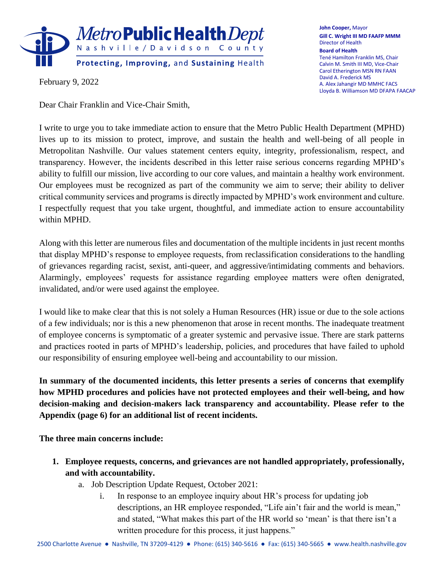

February 9, 2022

Dear Chair Franklin and Vice-Chair Smith,

**John Cooper,** Mayor **Gill C. Wright III MD FAAFP MMM** Director of Health **Board of Health** Tené Hamilton Franklin MS, Chair Calvin M. Smith III MD, Vice-Chair Carol Etherington MSN RN FAAN David A. Frederick MS A. Alex Jahangir MD MMHC FACS Lloyda B. Williamson MD DFAPA FAACAP

I write to urge you to take immediate action to ensure that the Metro Public Health Department (MPHD) lives up to its mission to protect, improve, and sustain the health and well-being of all people in Metropolitan Nashville. Our values statement centers equity, integrity, professionalism, respect, and transparency. However, the incidents described in this letter raise serious concerns regarding MPHD's ability to fulfill our mission, live according to our core values, and maintain a healthy work environment. Our employees must be recognized as part of the community we aim to serve; their ability to deliver critical community services and programs is directly impacted by MPHD's work environment and culture. I respectfully request that you take urgent, thoughtful, and immediate action to ensure accountability within MPHD.

Along with this letter are numerous files and documentation of the multiple incidents in just recent months that display MPHD's response to employee requests, from reclassification considerations to the handling of grievances regarding racist, sexist, anti-queer, and aggressive/intimidating comments and behaviors. Alarmingly, employees' requests for assistance regarding employee matters were often denigrated, invalidated, and/or were used against the employee.

I would like to make clear that this is not solely a Human Resources (HR) issue or due to the sole actions of a few individuals; nor is this a new phenomenon that arose in recent months. The inadequate treatment of employee concerns is symptomatic of a greater systemic and pervasive issue. There are stark patterns and practices rooted in parts of MPHD's leadership, policies, and procedures that have failed to uphold our responsibility of ensuring employee well-being and accountability to our mission.

**In summary of the documented incidents, this letter presents a series of concerns that exemplify how MPHD procedures and policies have not protected employees and their well-being, and how decision-making and decision-makers lack transparency and accountability. Please refer to the Appendix (page 6) for an additional list of recent incidents.**

**The three main concerns include:**

- **1. Employee requests, concerns, and grievances are not handled appropriately, professionally, and with accountability.**
	- a. Job Description Update Request, October 2021:
		- i. In response to an employee inquiry about HR's process for updating job descriptions, an HR employee responded, "Life ain't fair and the world is mean," and stated, "What makes this part of the HR world so 'mean' is that there isn't a written procedure for this process, it just happens."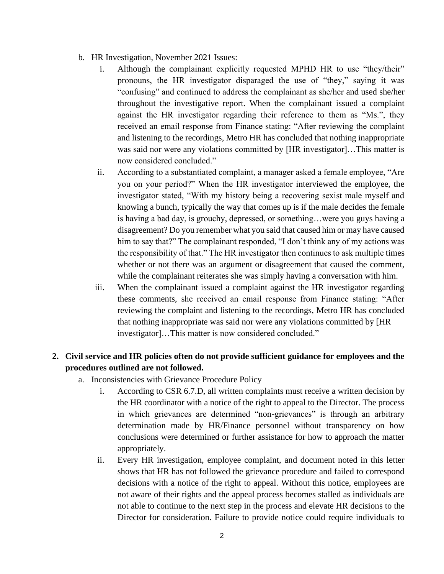- b. HR Investigation, November 2021 Issues:
	- i. Although the complainant explicitly requested MPHD HR to use "they/their" pronouns, the HR investigator disparaged the use of "they," saying it was "confusing" and continued to address the complainant as she/her and used she/her throughout the investigative report. When the complainant issued a complaint against the HR investigator regarding their reference to them as "Ms.", they received an email response from Finance stating: "After reviewing the complaint and listening to the recordings, Metro HR has concluded that nothing inappropriate was said nor were any violations committed by [HR investigator]…This matter is now considered concluded."
	- ii. According to a substantiated complaint, a manager asked a female employee, "Are you on your period?" When the HR investigator interviewed the employee, the investigator stated, "With my history being a recovering sexist male myself and knowing a bunch, typically the way that comes up is if the male decides the female is having a bad day, is grouchy, depressed, or something…were you guys having a disagreement? Do you remember what you said that caused him or may have caused him to say that?" The complainant responded, "I don't think any of my actions was the responsibility of that." The HR investigator then continues to ask multiple times whether or not there was an argument or disagreement that caused the comment, while the complainant reiterates she was simply having a conversation with him.
	- iii. When the complainant issued a complaint against the HR investigator regarding these comments, she received an email response from Finance stating: "After reviewing the complaint and listening to the recordings, Metro HR has concluded that nothing inappropriate was said nor were any violations committed by [HR investigator]…This matter is now considered concluded."

## **2. Civil service and HR policies often do not provide sufficient guidance for employees and the procedures outlined are not followed.**

- a. Inconsistencies with Grievance Procedure Policy
	- i. According to CSR 6.7.D, all written complaints must receive a written decision by the HR coordinator with a notice of the right to appeal to the Director. The process in which grievances are determined "non-grievances" is through an arbitrary determination made by HR/Finance personnel without transparency on how conclusions were determined or further assistance for how to approach the matter appropriately.
	- ii. Every HR investigation, employee complaint, and document noted in this letter shows that HR has not followed the grievance procedure and failed to correspond decisions with a notice of the right to appeal. Without this notice, employees are not aware of their rights and the appeal process becomes stalled as individuals are not able to continue to the next step in the process and elevate HR decisions to the Director for consideration. Failure to provide notice could require individuals to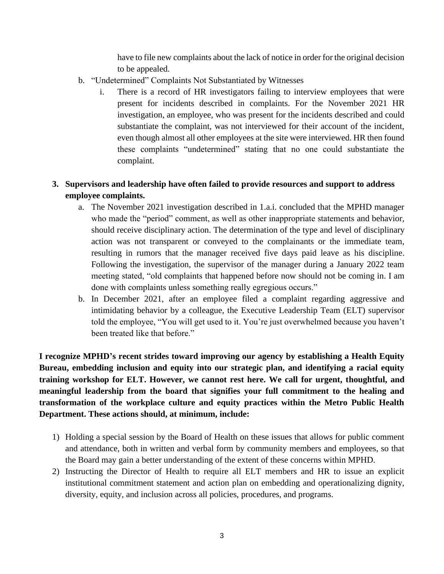have to file new complaints about the lack of notice in order for the original decision to be appealed.

- b. "Undetermined" Complaints Not Substantiated by Witnesses
	- i. There is a record of HR investigators failing to interview employees that were present for incidents described in complaints. For the November 2021 HR investigation, an employee, who was present for the incidents described and could substantiate the complaint, was not interviewed for their account of the incident, even though almost all other employees at the site were interviewed. HR then found these complaints "undetermined" stating that no one could substantiate the complaint.

## **3. Supervisors and leadership have often failed to provide resources and support to address employee complaints.**

- a. The November 2021 investigation described in 1.a.i. concluded that the MPHD manager who made the "period" comment, as well as other inappropriate statements and behavior, should receive disciplinary action. The determination of the type and level of disciplinary action was not transparent or conveyed to the complainants or the immediate team, resulting in rumors that the manager received five days paid leave as his discipline. Following the investigation, the supervisor of the manager during a January 2022 team meeting stated, "old complaints that happened before now should not be coming in. I am done with complaints unless something really egregious occurs."
- b. In December 2021, after an employee filed a complaint regarding aggressive and intimidating behavior by a colleague, the Executive Leadership Team (ELT) supervisor told the employee, "You will get used to it. You're just overwhelmed because you haven't been treated like that before."

**I recognize MPHD's recent strides toward improving our agency by establishing a Health Equity Bureau, embedding inclusion and equity into our strategic plan, and identifying a racial equity training workshop for ELT. However, we cannot rest here. We call for urgent, thoughtful, and meaningful leadership from the board that signifies your full commitment to the healing and transformation of the workplace culture and equity practices within the Metro Public Health Department. These actions should, at minimum, include:** 

- 1) Holding a special session by the Board of Health on these issues that allows for public comment and attendance, both in written and verbal form by community members and employees, so that the Board may gain a better understanding of the extent of these concerns within MPHD.
- 2) Instructing the Director of Health to require all ELT members and HR to issue an explicit institutional commitment statement and action plan on embedding and operationalizing dignity, diversity, equity, and inclusion across all policies, procedures, and programs.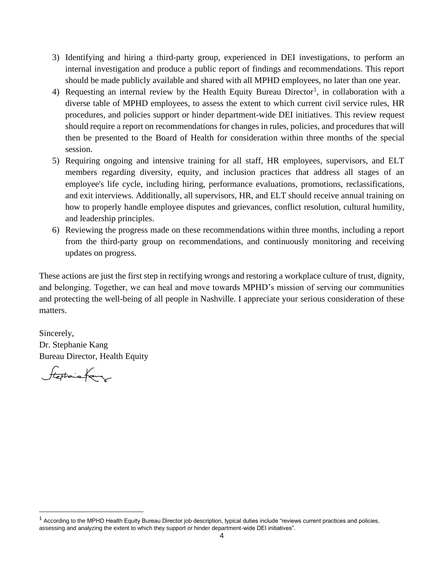- 3) Identifying and hiring a third-party group, experienced in DEI investigations, to perform an internal investigation and produce a public report of findings and recommendations. This report should be made publicly available and shared with all MPHD employees, no later than one year.
- 4) Requesting an internal review by the Health Equity Bureau Director<sup>1</sup>, in collaboration with a diverse table of MPHD employees, to assess the extent to which current civil service rules, HR procedures, and policies support or hinder department-wide DEI initiatives. This review request should require a report on recommendations for changes in rules, policies, and procedures that will then be presented to the Board of Health for consideration within three months of the special session.
- 5) Requiring ongoing and intensive training for all staff, HR employees, supervisors, and ELT members regarding diversity, equity, and inclusion practices that address all stages of an employee's life cycle, including hiring, performance evaluations, promotions, reclassifications, and exit interviews. Additionally, all supervisors, HR, and ELT should receive annual training on how to properly handle employee disputes and grievances, conflict resolution, cultural humility, and leadership principles.
- 6) Reviewing the progress made on these recommendations within three months, including a report from the third-party group on recommendations, and continuously monitoring and receiving updates on progress.

These actions are just the first step in rectifying wrongs and restoring a workplace culture of trust, dignity, and belonging. Together, we can heal and move towards MPHD's mission of serving our communities and protecting the well-being of all people in Nashville. I appreciate your serious consideration of these matters.

Sincerely, Dr. Stephanie Kang Bureau Director, Health Equity

Stephanofany

 $1$  According to the MPHD Health Equity Bureau Director job description, typical duties include "reviews current practices and policies, assessing and analyzing the extent to which they support or hinder department-wide DEI initiatives".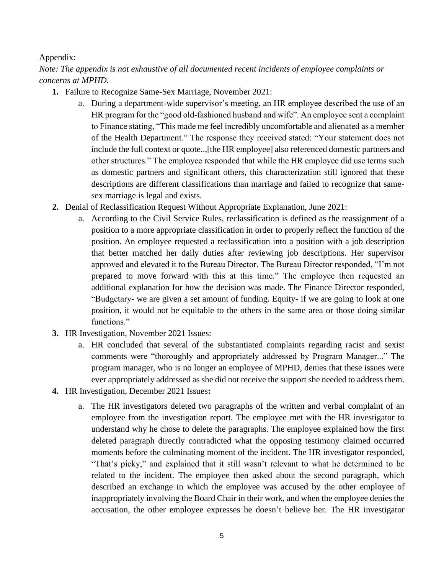## Appendix:

*Note: The appendix is not exhaustive of all documented recent incidents of employee complaints or concerns at MPHD.*

- **1.** Failure to Recognize Same-Sex Marriage, November 2021:
	- a. During a department-wide supervisor's meeting, an HR employee described the use of an HR program for the "good old-fashioned husband and wife". An employee sent a complaint to Finance stating, "This made me feel incredibly uncomfortable and alienated as a member of the Health Department." The response they received stated: "Your statement does not include the full context or quote..,[the HR employee] also referenced domestic partners and other structures." The employee responded that while the HR employee did use terms such as domestic partners and significant others, this characterization still ignored that these descriptions are different classifications than marriage and failed to recognize that samesex marriage is legal and exists.
- **2.** Denial of Reclassification Request Without Appropriate Explanation, June 2021:
	- a. According to the Civil Service Rules, reclassification is defined as the reassignment of a position to a more appropriate classification in order to properly reflect the function of the position. An employee requested a reclassification into a position with a job description that better matched her daily duties after reviewing job descriptions. Her supervisor approved and elevated it to the Bureau Director. The Bureau Director responded, "I'm not prepared to move forward with this at this time." The employee then requested an additional explanation for how the decision was made. The Finance Director responded, "Budgetary- we are given a set amount of funding. Equity- if we are going to look at one position, it would not be equitable to the others in the same area or those doing similar functions."
- **3.** HR Investigation, November 2021 Issues:
	- a. HR concluded that several of the substantiated complaints regarding racist and sexist comments were "thoroughly and appropriately addressed by Program Manager..." The program manager, who is no longer an employee of MPHD, denies that these issues were ever appropriately addressed as she did not receive the support she needed to address them.
- **4.** HR Investigation, December 2021 Issues**:**
	- a. The HR investigators deleted two paragraphs of the written and verbal complaint of an employee from the investigation report. The employee met with the HR investigator to understand why he chose to delete the paragraphs. The employee explained how the first deleted paragraph directly contradicted what the opposing testimony claimed occurred moments before the culminating moment of the incident. The HR investigator responded, "That's picky," and explained that it still wasn't relevant to what he determined to be related to the incident. The employee then asked about the second paragraph, which described an exchange in which the employee was accused by the other employee of inappropriately involving the Board Chair in their work, and when the employee denies the accusation, the other employee expresses he doesn't believe her. The HR investigator